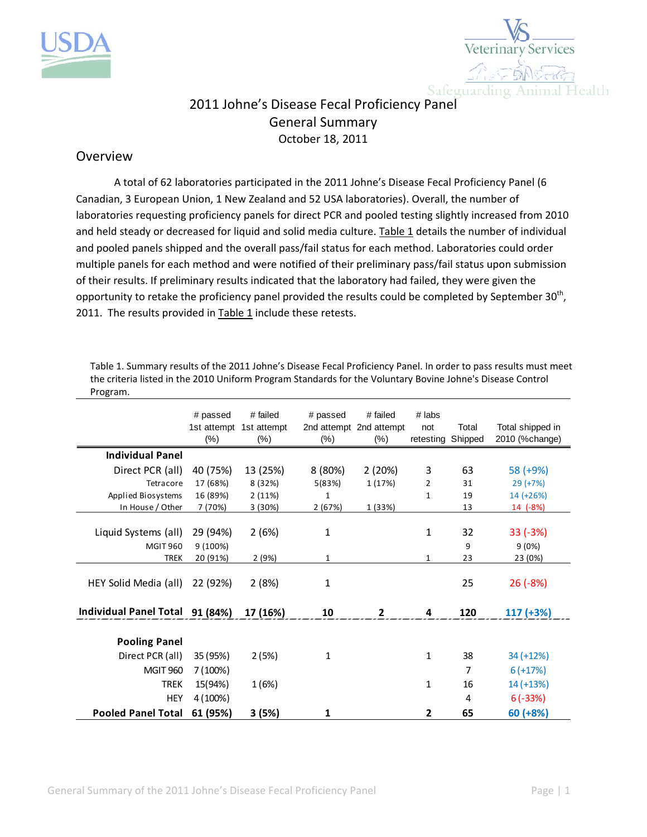



## 2011 Johne's Disease Fecal Proficiency Panel General Summary October 18, 2011

## Overview

A total of 62 laboratories participated in the 2011 Johne's Disease Fecal Proficiency Panel (6 Canadian, 3 European Union, 1 New Zealand and 52 USA laboratories). Overall, the number of laboratories requesting proficiency panels for direct PCR and pooled testing slightly increased from 2010 and held steady or decreased for liquid and solid media culture. Table 1 details the number of individual and pooled panels shipped and the overall pass/fail status for each method. Laboratories could order multiple panels for each method and were notified of their preliminary pass/fail status upon submission of their results. If preliminary results indicated that the laboratory had failed, they were given the opportunity to retake the proficiency panel provided the results could be completed by September 30<sup>th</sup>, 2011. The results provided in  $Table 1$  include these retests.

Table 1. Summary results of the 2011 Johne's Disease Fecal Proficiency Panel. In order to pass results must meet the criteria listed in the 2010 Uniform Program Standards for the Voluntary Bovine Johne's Disease Control Program.

|                                 | # passed<br>1st attempt<br>$(\% )$ | # failed<br>1st attempt<br>$(\%)$ | # passed<br>$(\%)$ | # failed<br>2nd attempt 2nd attempt<br>$(\%)$ | # labs<br>not<br>retesting Shipped | Total | Total shipped in<br>2010 (%change) |
|---------------------------------|------------------------------------|-----------------------------------|--------------------|-----------------------------------------------|------------------------------------|-------|------------------------------------|
| <b>Individual Panel</b>         |                                    |                                   |                    |                                               |                                    |       |                                    |
| Direct PCR (all)                | 40 (75%)                           | 13 (25%)                          | 8 (80%)            | 2(20%)                                        | 3                                  | 63    | 58 (+9%)                           |
| Tetracore                       | 17 (68%)                           | 8 (32%)                           | 5(83%)             | 1 (17%)                                       | 2                                  | 31    | $29 (+7%)$                         |
| Applied Biosystems              | 16 (89%)                           | 2(11%)                            | $\mathbf{1}$       |                                               | 1                                  | 19    | 14 (+26%)                          |
| In House / Other                | 7 (70%)                            | 3 (30%)                           | 2 (67%)            | 1 (33%)                                       |                                    | 13    | 14 (-8%)                           |
| Liquid Systems (all)            | 29 (94%)                           | 2(6%)                             | 1                  |                                               | 1                                  | 32    | $33(-3%)$                          |
| <b>MGIT 960</b>                 | 9 (100%)                           |                                   |                    |                                               |                                    | 9     | 9(0%)                              |
| <b>TREK</b>                     | 20 (91%)                           | 2 (9%)                            | 1                  |                                               | 1                                  | 23    | 23 (0%)                            |
| HEY Solid Media (all)           | 22 (92%)                           | 2(8%)                             | $\mathbf{1}$       |                                               |                                    | 25    | $26(-8%)$                          |
| Individual Panel Total 91 (84%) |                                    | 17 (16%)                          | 10                 | $\mathbf{2}$                                  | 4                                  | 120   | $117 (+3%)$                        |
| <b>Pooling Panel</b>            |                                    |                                   |                    |                                               |                                    |       |                                    |
| Direct PCR (all)                | 35 (95%)                           | 2(5%)                             | 1                  |                                               | $\mathbf{1}$                       | 38    | 34 (+12%)                          |
| <b>MGIT 960</b>                 | 7 (100%)                           |                                   |                    |                                               |                                    | 7     | $6 (+17%)$                         |
| <b>TREK</b>                     | 15(94%)                            | 1(6%)                             |                    |                                               | $\mathbf{1}$                       | 16    | 14 (+13%)                          |
| <b>HEY</b>                      | 4 (100%)                           |                                   |                    |                                               |                                    | 4     | $6(-33%)$                          |
| <b>Pooled Panel Total</b>       | 61 (95%)                           | 3(5%)                             | 1                  |                                               | 2                                  | 65    | $60 (+8%)$                         |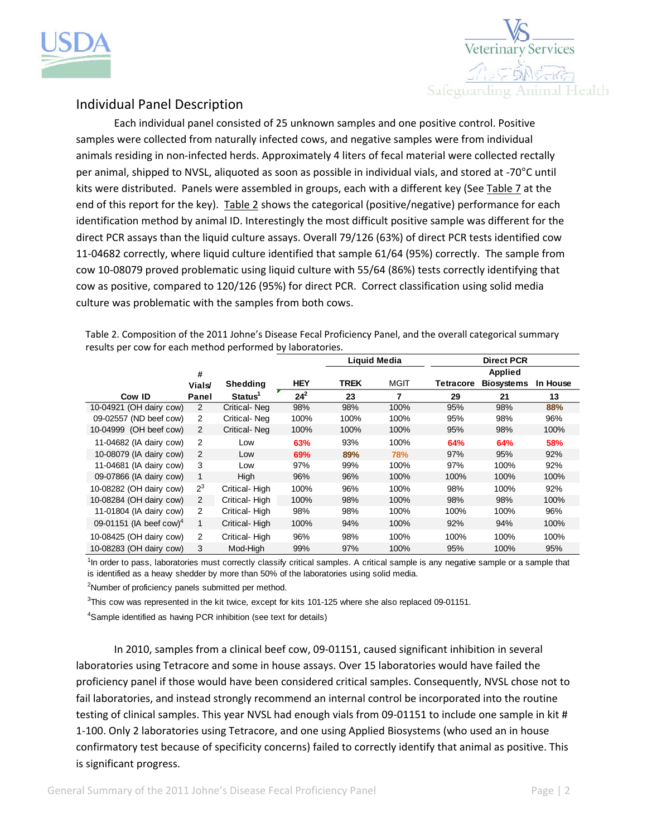



## Individual Panel Description

Each individual panel consisted of 25 unknown samples and one positive control. Positive samples were collected from naturally infected cows, and negative samples were from individual animals residing in non-infected herds. Approximately 4 liters of fecal material were collected rectally per animal, shipped to NVSL, aliquoted as soon as possible in individual vials, and stored at ‐70°C until kits were distributed. Panels were assembled in groups, each with a different key (See Table 7 at the end of this report for the key). Table 2 shows the categorical (positive/negative) performance for each identification method by animal ID. Interestingly the most difficult positive sample was different for the direct PCR assays than the liquid culture assays. Overall 79/126 (63%) of direct PCR tests identified cow 11‐04682 correctly, where liquid culture identified that sample 61/64 (95%) correctly. The sample from cow 10‐08079 proved problematic using liquid culture with 55/64 (86%) tests correctly identifying that cow as positive, compared to 120/126 (95%) for direct PCR. Correct classification using solid media culture was problematic with the samples from both cows.

Table 2. Composition of the 2011 Johne's Disease Fecal Proficiency Panel, and the overall categorical summary results per cow for each method performed by laboratories.

|                                     |                    |                     |            |             | Liquid Media |                  | <b>Direct PCR</b>                   |          |
|-------------------------------------|--------------------|---------------------|------------|-------------|--------------|------------------|-------------------------------------|----------|
|                                     | #<br><b>Vials/</b> | Shedding            | <b>HEY</b> | <b>TREK</b> | <b>MGIT</b>  | <b>Tetracore</b> | <b>Applied</b><br><b>Biosystems</b> | In House |
| Cow ID                              | Panel              | Status <sup>1</sup> | $24^{2}$   | 23          | 7            | 29               | 21                                  | 13       |
| 10-04921 (OH dairy cow)             | 2                  | Critical-Neg        | 98%        | 98%         | 100%         | 95%              | 98%                                 | 88%      |
| 09-02557 (ND beef cow)              | 2                  | Critical-Neg        | 100%       | 100%        | 100%         | 95%              | 98%                                 | 96%      |
| 10-04999 (OH beef cow)              | 2                  | Critical-Neg        | 100%       | 100%        | 100%         | 95%              | 98%                                 | 100%     |
| 11-04682 (IA dairy cow)             | 2                  | Low                 | 63%        | 93%         | 100%         | 64%              | 64%                                 | 58%      |
| 10-08079 (IA dairy cow)             | 2                  | Low                 | 69%        | 89%         | 78%          | 97%              | 95%                                 | 92%      |
| 11-04681 (IA dairy cow)             | 3                  | Low                 | 97%        | 99%         | 100%         | 97%              | 100%                                | 92%      |
| 09-07866 (IA dairy cow)             | 1                  | High                | 96%        | 96%         | 100%         | 100%             | 100%                                | 100%     |
| 10-08282 (OH dairy cow)             | $2^3$              | Critical-High       | 100%       | 96%         | 100%         | 98%              | 100%                                | 92%      |
| 10-08284 (OH dairy cow)             | 2                  | Critical-High       | 100%       | 98%         | 100%         | 98%              | 98%                                 | 100%     |
| 11-01804 (IA dairy cow)             | 2                  | Critical-High       | 98%        | 98%         | 100%         | 100%             | 100%                                | 96%      |
| 09-01151 (IA beef cow) <sup>4</sup> | $\mathbf{1}$       | Critical-High       | 100%       | 94%         | 100%         | 92%              | 94%                                 | 100%     |
| 10-08425 (OH dairy cow)             | 2                  | Critical-High       | 96%        | 98%         | 100%         | 100%             | 100%                                | 100%     |
| 10-08283 (OH dairy cow)             | 3                  | Mod-High            | 99%        | 97%         | 100%         | 95%              | 100%                                | 95%      |

<sup>1</sup>In order to pass, laboratories must correctly classify critical samples. A critical sample is any negative sample or a sample that is identified as a heavy shedder by more than 50% of the laboratories using solid media.

<sup>2</sup>Number of proficiency panels submitted per method.

 $3$ This cow was represented in the kit twice, except for kits 101-125 where she also replaced 09-01151.

<sup>4</sup>Sample identified as having PCR inhibition (see text for details)

In 2010, samples from a clinical beef cow, 09‐01151, caused significant inhibition in several laboratories using Tetracore and some in house assays. Over 15 laboratories would have failed the proficiency panel if those would have been considered critical samples. Consequently, NVSL chose not to fail laboratories, and instead strongly recommend an internal control be incorporated into the routine testing of clinical samples. This year NVSL had enough vials from 09-01151 to include one sample in kit # 1‐100. Only 2 laboratories using Tetracore, and one using Applied Biosystems (who used an in house confirmatory test because of specificity concerns) failed to correctly identify that animal as positive. This is significant progress.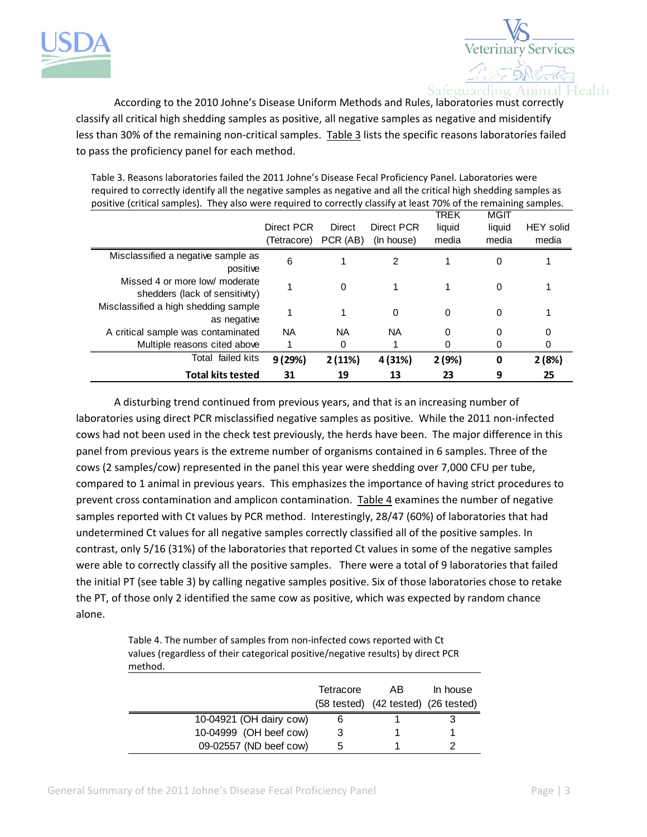



According to the 2010 Johne's Disease Uniform Methods and Rules, laboratories must correctly classify all critical high shedding samples as positive, all negative samples as negative and misidentify less than 30% of the remaining non-critical samples. Table 3 lists the specific reasons laboratories failed to pass the proficiency panel for each method.

| positive (critical samples). They also were required to correctly classify at least 70% of the remaining samples. |             |           |            |          |        |                  |  |  |  |
|-------------------------------------------------------------------------------------------------------------------|-------------|-----------|------------|----------|--------|------------------|--|--|--|
|                                                                                                                   |             |           |            | TREK     | MGIT   |                  |  |  |  |
|                                                                                                                   | Direct PCR  | Direct    | Direct PCR | liquid   | liquid | <b>HEY</b> solid |  |  |  |
|                                                                                                                   | (Tetracore) | PCR (AB)  | (In house) | media    | media  | media            |  |  |  |
| Misclassified a negative sample as<br>positive                                                                    | 6           |           | 2          |          | 0      |                  |  |  |  |
| Missed 4 or more low/ moderate<br>shedders (lack of sensitivity)                                                  |             | $\Omega$  |            |          | 0      |                  |  |  |  |
| Misclassified a high shedding sample<br>as negative                                                               |             |           | 0          | $\Omega$ | 0      |                  |  |  |  |
| A critical sample was contaminated                                                                                | <b>NA</b>   | <b>NA</b> | <b>NA</b>  | $\Omega$ | 0      | 0                |  |  |  |
| Multiple reasons cited above                                                                                      |             | 0         |            | 0        | 0      |                  |  |  |  |
| Total failed kits                                                                                                 | 9(29%)      | 2(11%)    | 4 (31%)    | 2(9%)    | 0      | 2(8%)            |  |  |  |
| <b>Total kits tested</b>                                                                                          | 31          | 19        | 13         | 23       | 9      | 25               |  |  |  |

Table 3. Reasons laboratories failed the 2011 Johne's Disease Fecal Proficiency Panel. Laboratories were required to correctly identify all the negative samples as negative and all the critical high shedding samples as

A disturbing trend continued from previous years, and that is an increasing number of laboratories using direct PCR misclassified negative samples as positive. While the 2011 non-infected cows had not been used in the check test previously, the herds have been. The major difference in this panel from previous years is the extreme number of organisms contained in 6 samples. Three of the cows (2 samples/cow) represented in the panel this year were shedding over 7,000 CFU per tube, compared to 1 animal in previous years. This emphasizes the importance of having strict procedures to prevent cross contamination and amplicon contamination. Table 4 examines the number of negative samples reported with Ct values by PCR method. Interestingly, 28/47 (60%) of laboratories that had undetermined Ct values for all negative samples correctly classified all of the positive samples. In contrast, only 5/16 (31%) of the laboratories that reported Ct values in some of the negative samples were able to correctly classify all the positive samples. There were a total of 9 laboratories that failed the initial PT (see table 3) by calling negative samples positive. Six of those laboratories chose to retake the PT, of those only 2 identified the same cow as positive, which was expected by random chance alone.

> Table 4. The number of samples from non-infected cows reported with Ct values (regardless of their categorical positive/negative results) by direct PCR method.

|                         | Tetracore | AB<br>(58 tested) (42 tested) (26 tested) | In house |
|-------------------------|-----------|-------------------------------------------|----------|
| 10-04921 (OH dairy cow) |           |                                           |          |
| 10-04999 (OH beef cow)  |           |                                           |          |
| 09-02557 (ND beef cow)  | :5        |                                           |          |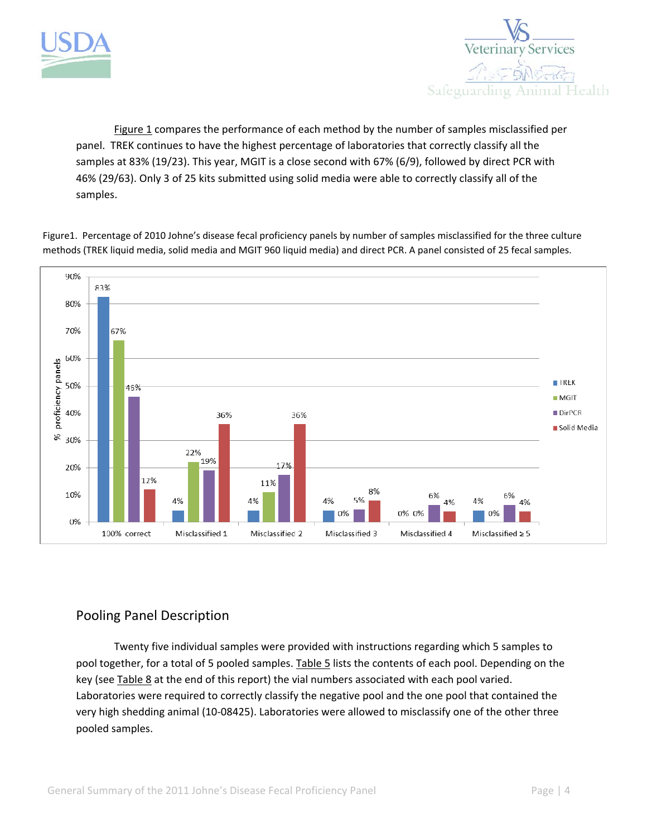



Figure 1 compares the performance of each method by the number of samples misclassified per panel. TREK continues to have the highest percentage of laboratories that correctly classify all the samples at 83% (19/23). This year, MGIT is a close second with 67% (6/9), followed by direct PCR with 46% (29/63). Only 3 of 25 kits submitted using solid media were able to correctly classify all of the samples.

Figure1. Percentage of 2010 Johne's disease fecal proficiency panels by number of samples misclassified for the three culture methods (TREK liquid media, solid media and MGIT 960 liquid media) and direct PCR. A panel consisted of 25 fecal samples.



## Pooling Panel Description

Twenty five individual samples were provided with instructions regarding which 5 samples to pool together, for a total of 5 pooled samples. Table 5 lists the contents of each pool. Depending on the key (see Table 8 at the end of this report) the vial numbers associated with each pool varied. Laboratories were required to correctly classify the negative pool and the one pool that contained the very high shedding animal (10‐08425). Laboratories were allowed to misclassify one of the other three pooled samples.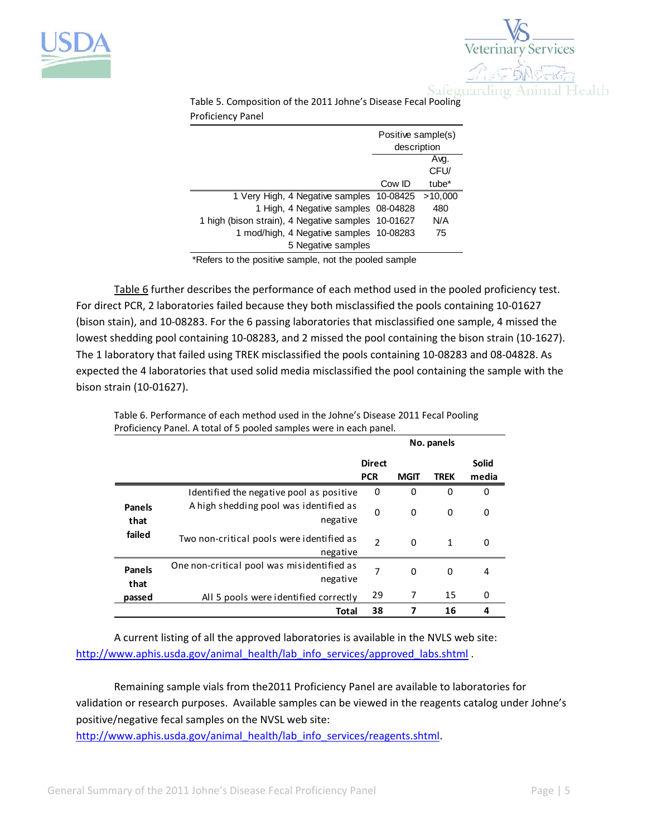



Table 5. Composition of the 2011 Johne's Disease Fecal Pooling Proficiency Panel

|                                                    | Positive sample(s)<br>description |                   |  |
|----------------------------------------------------|-----------------------------------|-------------------|--|
|                                                    |                                   | Avq.              |  |
|                                                    |                                   | CFU/              |  |
|                                                    | Cow ID                            | tube <sup>*</sup> |  |
| 1 Very High, 4 Negative samples 10-08425           |                                   | >10,000           |  |
| 1 High, 4 Negative samples 08-04828                |                                   | 480               |  |
| 1 high (bison strain), 4 Negative samples 10-01627 |                                   | N/A               |  |
| 1 mod/high, 4 Negative samples 10-08283            |                                   | 75                |  |
| 5 Negative samples                                 |                                   |                   |  |

\*Refers to the positive sample, not the pooled sample

Table 6 further describes the performance of each method used in the pooled proficiency test. For direct PCR, 2 laboratories failed because they both misclassified the pools containing 10‐01627 (bison stain), and 10‐08283. For the 6 passing laboratories that misclassified one sample, 4 missed the lowest shedding pool containing 10‐08283, and 2 missed the pool containing the bison strain (10‐1627). The 1 laboratory that failed using TREK misclassified the pools containing 10‐08283 and 08‐04828. As expected the 4 laboratories that used solid media misclassified the pool containing the sample with the bison strain (10‐01627).

|                       |                                                        |                | No. panels  |              |       |  |
|-----------------------|--------------------------------------------------------|----------------|-------------|--------------|-------|--|
|                       |                                                        | <b>Direct</b>  |             |              | Solid |  |
|                       |                                                        | <b>PCR</b>     | <b>MGIT</b> | <b>TREK</b>  | media |  |
|                       | Identified the negative pool as positive               | 0              | 0           | $\Omega$     | 0     |  |
| <b>Panels</b><br>that | A high shedding pool was identified as<br>negative     | $\mathbf 0$    | 0           | 0            | 0     |  |
| failed                | Two non-critical pools were identified as<br>negative  | $\mathfrak{p}$ | $\Omega$    | $\mathbf{1}$ | 0     |  |
| <b>Panels</b><br>that | One non-critical pool was misidentified as<br>negative | 7              | 0           | 0            | 4     |  |
| passed                | All 5 pools were identified correctly                  | 29             |             | 15           | 0     |  |
|                       | Total                                                  | 38             |             | 16           | 4     |  |

Table 6. Performance of each method used in the Johne's Disease 2011 Fecal Pooling Proficiency Panel. A total of 5 pooled samples were in each panel.

A current listing of all the approved laboratories is available in the NVLS web site: http://www.aphis.usda.gov/animal\_health/lab\_info\_services/approved\_labs.shtml .

Remaining sample vials from the2011 Proficiency Panel are available to laboratories for validation or research purposes. Available samples can be viewed in the reagents catalog under Johne's positive/negative fecal samples on the NVSL web site:

http://www.aphis.usda.gov/animal\_health/lab\_info\_services/reagents.shtml.